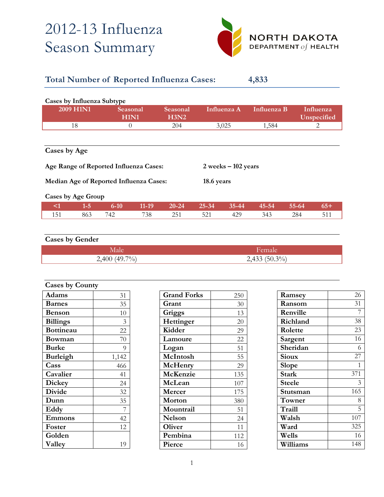# 2012-13 Influenza Season Summary



### **Total Number of Reported Influenza Cases: 4,833**

| Cases by Influenza Subtype                                       |                  |                  |         |                  |           |             |             |           |                          |  |  |
|------------------------------------------------------------------|------------------|------------------|---------|------------------|-----------|-------------|-------------|-----------|--------------------------|--|--|
|                                                                  | <b>2009 H1N1</b> | Seasonal<br>H1N1 |         | Seasonal<br>H3N2 |           | Influenza A | Influenza B |           | Influenza<br>Unspecified |  |  |
|                                                                  | 18               | $\theta$         |         | 204              |           | 3,025       | 1,584       |           | 2                        |  |  |
| Cases by Age                                                     |                  |                  |         |                  |           |             |             |           |                          |  |  |
| Age Range of Reported Influenza Cases:<br>$2$ weeks $-102$ years |                  |                  |         |                  |           |             |             |           |                          |  |  |
| Median Age of Reported Influenza Cases:<br>18.6 years            |                  |                  |         |                  |           |             |             |           |                          |  |  |
| <b>Cases by Age Group</b>                                        |                  |                  |         |                  |           |             |             |           |                          |  |  |
| $\leq$ 1                                                         | $1-5$            | $6 - 10$         | $11-19$ | $20 - 24$        | $25 - 34$ | $35 - 44$   | $45 - 54$   | $55 - 64$ | $65+$                    |  |  |
| 151                                                              | 863              | 742              | 738     | 251              | 521       | 429         | 343         | 284       | 511                      |  |  |

## **Cases by Gender** Male Female Render 2,400 (49.7%) 2,433 (50.3%)

| <b>Cases by County</b> |                |  |  |  |
|------------------------|----------------|--|--|--|
| Adams                  | 31             |  |  |  |
| <b>Barnes</b>          | 35             |  |  |  |
| <b>Benson</b>          | 10             |  |  |  |
| <b>Billings</b>        | 3              |  |  |  |
| <b>Bottineau</b>       | 22             |  |  |  |
| Bowman                 | 70             |  |  |  |
| <b>Burke</b>           | 9              |  |  |  |
| <b>Burleigh</b>        | 1,142          |  |  |  |
| Cass                   | 466            |  |  |  |
| Cavalier               | 41             |  |  |  |
| Dickey                 | 24             |  |  |  |
| <b>Divide</b>          | 32             |  |  |  |
| Dunn                   | 35             |  |  |  |
| Eddy                   | $\overline{7}$ |  |  |  |
| Emmons                 | 42             |  |  |  |
| Foster                 | 12             |  |  |  |
| Golden                 |                |  |  |  |
| Valley                 | 19             |  |  |  |

| <b>Grand Forks</b> | 250 |
|--------------------|-----|
| Grant              | 30  |
| Griggs             | 13  |
| Hettinger          | 20  |
| Kidder             | 29  |
| Lamoure            | 22  |
| Logan              | 51  |
| McIntosh           | 55  |
| McHenry            | 29  |
| McKenzie           | 135 |
| McLean             | 107 |
| Mercer             | 175 |
| Morton             | 380 |
| Mountrail          | 51  |
| <b>Nelson</b>      | 24  |
| Oliver             | 11  |
| Pembina            | 112 |
| Pierce             | 16  |

| Ramsey       | 26  |
|--------------|-----|
| Ransom       | 31  |
| Renville     | 7   |
| Richland     | 38  |
| Rolette      | 23  |
| Sargent      | 16  |
| Sheridan     | 6   |
| <b>Sioux</b> | 27  |
| Slope        | 1   |
| <b>Stark</b> | 371 |
| Steele       | 3   |
| Stutsman     | 165 |
| Towner       | 8   |
| Traill       | 5   |
| Walsh        | 107 |
| Ward         | 325 |
| Wells        | 16  |
| Williams     | 148 |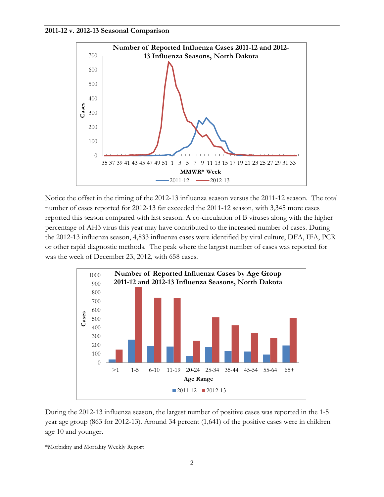#### **2011-12 v. 2012-13 Seasonal Comparison**



Notice the offset in the timing of the 2012-13 influenza season versus the 2011-12 season. The total number of cases reported for 2012-13 far exceeded the 2011-12 season, with 3,345 more cases reported this season compared with last season. A co-circulation of B viruses along with the higher percentage of AH3 virus this year may have contributed to the increased number of cases. During the 2012-13 influenza season, 4,833 influenza cases were identified by viral culture, DFA, IFA, PCR or other rapid diagnostic methods. The peak where the largest number of cases was reported for was the week of December 23, 2012, with 658 cases.



During the 2012-13 influenza season, the largest number of positive cases was reported in the 1-5 year age group (863 for 2012-13). Around 34 percent (1,641) of the positive cases were in children age 10 and younger.

\*Morbidity and Mortality Weekly Report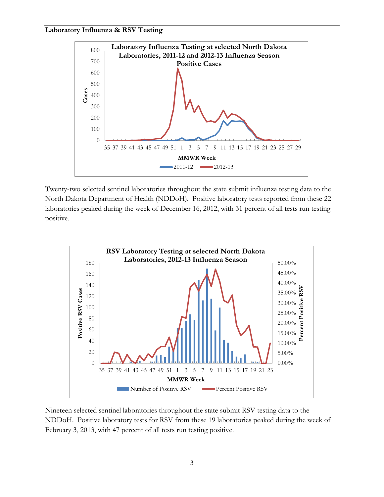#### **Laboratory Influenza & RSV Testing**



Twenty-two selected sentinel laboratories throughout the state submit influenza testing data to the North Dakota Department of Health (NDDoH). Positive laboratory tests reported from these 22 laboratories peaked during the week of December 16, 2012, with 31 percent of all tests run testing positive.



Nineteen selected sentinel laboratories throughout the state submit RSV testing data to the NDDoH. Positive laboratory tests for RSV from these 19 laboratories peaked during the week of February 3, 2013, with 47 percent of all tests run testing positive.